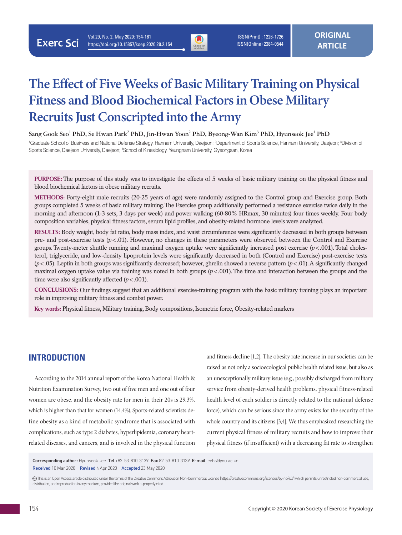

 ISSN(Print) : 1226-1726 ISSN(Online) 2384-0544

# **The Effect of Five Weeks of Basic Military Training on Physical Fitness and Blood Biochemical Factors in Obese Military Recruits Just Conscripted into the Army**

 $\sigma$ Sang Gook Seo<sup>1</sup> PhD, Se Hwan Park<sup>2</sup> PhD, Jin-Hwan Yoon<sup>2</sup> PhD, Byeong-Wan Kim<sup>3</sup> PhD, Hyunseok Jee<sup>4</sup> PhD

<sup>1</sup>Graduate School of Business and National Defense Strategy, Hannam University, Daejeon; <sup>2</sup>Department of Sports Science, Hannam University, Daejeon; <sup>3</sup>Division of Sports Science, Daejeon University, Daejeon; <sup>4</sup>School of Kinesiology, Yeungnam University, Gyeongsan, Korea

**PURPOSE:** The purpose of this study was to investigate the effects of 5 weeks of basic military training on the physical fitness and blood biochemical factors in obese military recruits.

**METHODS:** Forty-eight male recruits (20-25 years of age) were randomly assigned to the Control group and Exercise group. Both groups completed 5 weeks of basic military training. The Exercise group additionally performed a resistance exercise twice daily in the morning and afternoon (1-3 sets, 3 days per week) and power walking (60-80% HRmax, 30 minutes) four times weekly. Four body composition variables, physical fitness factors, serum lipid profiles, and obesity-related hormone levels were analyzed.

**RESULTS:** Body weight, body fat ratio, body mass index, and waist circumference were significantly decreased in both groups between pre- and post-exercise tests (*p*<.01). However, no changes in these parameters were observed between the Control and Exercise groups. Twenty-meter shuttle running and maximal oxygen uptake were significantly increased post exercise (*p*<.001). Total cholesterol, triglyceride, and low-density lipoprotein levels were significantly decreased in both (Control and Exercise) post-exercise tests (*p*<.05). Leptin in both groups was significantly decreased; however, ghrelin showed a reverse pattern (*p*<.01). A significantly changed maximal oxygen uptake value via training was noted in both groups  $(p<.001)$ . The time and interaction between the groups and the time were also significantly affected  $(p < .001)$ .

**CONCLUSIONS:** Our findings suggest that an additional exercise-training program with the basic military training plays an important role in improving military fitness and combat power.

**Key words:** Physical fitness, Military training, Body compositions, Isometric force, Obesity-related markers

### **INTRODUCTION**

According to the 2014 annual report of the Korea National Health & Nutrition Examination Survey, two out of five men and one out of four women are obese, and the obesity rate for men in their 20s is 29.3%, which is higher than that for women (14.4%). Sports-related scientists define obesity as a kind of metabolic syndrome that is associated with complications, such as type 2 diabetes, hyperlipidemia, coronary heartrelated diseases, and cancers, and is involved in the physical function

and fitness decline [1,2]. The obesity rate increase in our societies can be raised as not only a socioecological public health related issue, but also as an unexceptionally military issue (e.g., possibly discharged from military service from obesity-derived health problems, physical fitness-related health level of each soldier is directly related to the national defense force), which can be serious since the army exists for the security of the whole country and its citizens [3,4]. We thus emphasized researching the current physical fitness of military recruits and how to improve their physical fitness (if insufficient) with a decreasing fat rate to strengthen

Corresponding author: Hyunseok Jee Tel +82-53-810-3139 Fax 82-53-810-3139 E-mail jeehs@ynu.ac.kr Received 10 Mar 2020 Revised 4 Apr 2020 Accepted 23 May 2020

 This is an Open Access article distributed under the terms of the Creative Commons Attribution Non-Commercial License (https://creativecommons.org/licenses/by-nc/4.0/) which permits unrestricted non-commercial use, distribution, and reproduction in any medium, provided the original work is properly cited.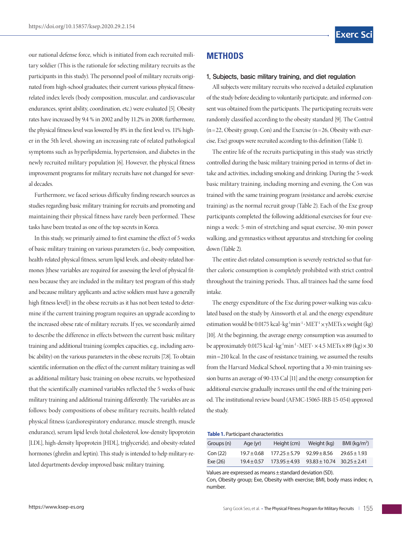our national defense force, which is initiated from each recruited military soldier (This is the rationale for selecting military recruits as the participants in this study). The personnel pool of military recruits originated from high-school graduates; their current various physical fitnessrelated index levels (body composition, muscular, and cardiovascular endurances, sprint ability, coordination, etc.) were evaluated [5]. Obesity rates have increased by 9.4 % in 2002 and by 11.2% in 2008; furthermore, the physical fitness level was lowered by 8% in the first level vs. 11% higher in the 5th level, showing an increasing rate of related pathological symptoms such as hyperlipidemia, hypertension, and diabetes in the newly recruited military population [6]. However, the physical fitness improvement programs for military recruits have not changed for several decades.

Furthermore, we faced serious difficulty finding research sources as studies regarding basic military training for recruits and promoting and maintaining their physical fitness have rarely been performed. These tasks have been treated as one of the top secrets in Korea.

In this study, we primarily aimed to first examine the effect of 5 weeks of basic military training on various parameters (i.e., body composition, health-related physical fitness, serum lipid levels, and obesity-related hormones [these variables are required for assessing the level of physical fitness because they are included in the military test program of this study and because military applicants and active soldiers must have a generally high fitness level]) in the obese recruits as it has not been tested to determine if the current training program requires an upgrade according to the increased obese rate of military recruits. If yes, we secondarily aimed to describe the difference in effects between the current basic military training and additional training (complex capacities, e.g., including aerobic ability) on the various parameters in the obese recruits [7,8]. To obtain scientific information on the effect of the current military training as well as additional military basic training on obese recruits, we hypothesized that the scientifically examined variables reflected the 5 weeks of basic military training and additional training differently. The variables are as follows: body compositions of obese military recruits, health-related physical fitness (cardiorespiratory endurance, muscle strength, muscle endurance), serum lipid levels (total cholesterol, low-density lipoprotein [LDL], high-density lipoprotein [HDL], triglyceride), and obesity-related hormones (ghrelin and leptin). This study is intended to help military-related departments develop improved basic military training.

# **METHODS**

#### 1. Subjects, basic military training, and diet regulation

All subjects were military recruits who received a detailed explanation of the study before deciding to voluntarily participate, and informed consent was obtained from the participants. The participating recruits were randomly classified according to the obesity standard [9]. The Control  $(n=22,$  Obesity group, Con) and the Exercise  $(n=26,$  Obesity with exercise, Exe) groups were recruited according to this definition (Table 1).

The entire life of the recruits participating in this study was strictly controlled during the basic military training period in terms of diet intake and activities, including smoking and drinking. During the 5-week basic military training, including morning and evening, the Con was trained with the same training program (resistance and aerobic exercise training) as the normal recruit group (Table 2). Each of the Exe group participants completed the following additional exercises for four evenings a week: 5-min of stretching and squat exercise, 30-min power walking, and gymnastics without apparatus and stretching for cooling down (Table 2).

The entire diet-related consumption is severely restricted so that further caloric consumption is completely prohibited with strict control throughout the training periods. Thus, all trainees had the same food intake.

The energy expenditure of the Exe during power-walking was calculated based on the study by Ainsworth et al. and the energy expenditure estimation would be 0.0175 kcal·kg<sup>-1</sup>min<sup>-1</sup>·MET<sup>-1</sup>×yMETs×weight (kg) [10]. At the beginning, the average energy consumption was assumed to be approximately 0.0175 kcal·kg<sup>-1</sup>min<sup>-1</sup>·MET· $\times$ 4.5 METs $\times$ 89 (kg) $\times$ 30 min =210 kcal. In the case of resistance training, we assumed the results from the Harvard Medical School, reporting that a 30-min training session burns an average of 90-133 Cal [11] and the energy consumption for additional exercise gradually increases until the end of the training period. The institutional review board (AFMC-15065-IRB-15-054) approved the study.

**Table 1.** Participant characteristics

| Groups (n) | Age (yr)        | Height (cm)       | Weight (kg)       | BMI ( $kg/m2$ )  |
|------------|-----------------|-------------------|-------------------|------------------|
| Con(22)    | $19.7 \pm 0.68$ | $177.25 \pm 5.79$ | $92.99 + 8.56$    | $29.65 \pm 1.93$ |
| Exe(26)    | $19.4 + 0.57$   | $173.95 \pm 4.93$ | $93.83 \pm 10.74$ | $30.25 \pm 2.41$ |

Values are expressed as means±standard deviation (SD).

Con, Obesity group; Exe, Obesity with exercise; BMI, body mass index; n, number.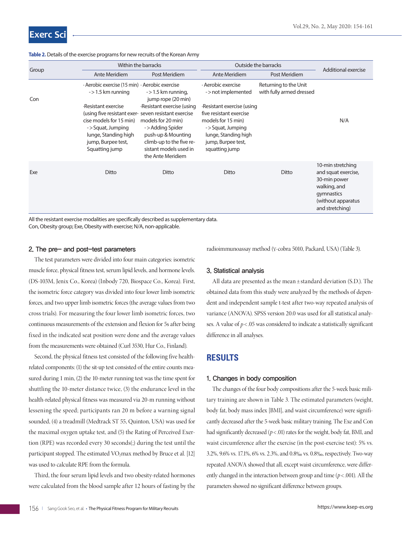| Group | Within the barracks                                                                                                                                                                        |                                                                                                                                                                     | Outside the barracks                                                                                                                                           | Additional exercise                               |                                                                                                                                 |
|-------|--------------------------------------------------------------------------------------------------------------------------------------------------------------------------------------------|---------------------------------------------------------------------------------------------------------------------------------------------------------------------|----------------------------------------------------------------------------------------------------------------------------------------------------------------|---------------------------------------------------|---------------------------------------------------------------------------------------------------------------------------------|
|       | Ante Meridiem                                                                                                                                                                              | Post Meridiem                                                                                                                                                       | Ante Meridiem                                                                                                                                                  | Post Meridiem                                     |                                                                                                                                 |
| Con   | $\cdot$ Aerobic exercise (15 min) $\cdot$ Aerobic exercise<br>$-$ > 1.5 km running                                                                                                         | $-$ > 1.5 km running,<br>jump rope (20 min)                                                                                                                         | · Aerobic exercise<br>- > not implemented                                                                                                                      | Returning to the Unit<br>with fully armed dressed |                                                                                                                                 |
|       | ·Resistant exercise<br>(using five resistant exer- seven resistant exercise<br>cise models for 15 min)<br>->Squat, Jumping<br>lunge, Standing high<br>jump, Burpee test,<br>Squatting jump | Resistant exercise (using<br>models for 20 min)<br>->Adding Spider<br>push-up & Mounting<br>climb-up to the five re-<br>sistant models used in<br>the Ante Meridiem | Resistant exercise (using<br>five resistant exercise<br>models for 15 min)<br>->Squat, Jumping<br>lunge, Standing high<br>jump, Burpee test,<br>squatting jump |                                                   | N/A                                                                                                                             |
| Exe   | Ditto                                                                                                                                                                                      | Ditto                                                                                                                                                               | Ditto                                                                                                                                                          | Ditto                                             | 10-min stretching<br>and squat exercise,<br>30-min power<br>walking, and<br>gymnastics<br>(without apparatus<br>and stretching) |

**Table 2.** Details of the exercise programs for new recruits of the Korean Army

All the resistant exercise modalities are specifically described as supplementary data. Con, Obesity group; Exe, Obesity with exercise; N/A, non-applicable.

#### 2. The pre- and post-test parameters

The test parameters were divided into four main categories: isometric muscle force, physical fitness test, serum lipid levels, and hormone levels. (DS-103M, Jenix Co., Korea) (Inbody 720, Biospace Co., Korea). First, the isometric force category was divided into four lower limb isometric forces, and two upper limb isometric forces (the average values from two cross trials). For measuring the four lower limb isometric forces, two continuous measurements of the extension and flexion for 5s after being fixed in the indicated seat position were done and the average values from the measurements were obtained (Curl 3530, Hur Co., Finland).

Second, the physical fitness test consisted of the following five healthrelated components: (1) the sit-up test consisted of the entire counts measured during 1 min, (2) the 10-meter running test was the time spent for shuttling the 10-meter distance twice, (3) the endurance level in the health-related physical fitness was measured via 20-m running without lessening the speed; participants ran 20 m before a warning signal sounded, (4) a treadmill (Medtrack ST 55, Quinton, USA) was used for the maximal oxygen uptake test, and (5) the Rating of Perceived Exertion (RPE) was recorded every 30 seconds(;) during the test until the participant stopped. The estimated  $VO<sub>2</sub>$ max method by Bruce et al. [12] was used to calculate RPE from the formula.

Third, the four serum lipid levels and two obesity-related hormones were calculated from the blood sample after 12 hours of fasting by the radioimmunoassay method (ɣ-cobra 5010, Packard, USA) (Table 3).

#### 3. Statistical analysis

All data are presented as the mean ±standard deviation (S.D.). The obtained data from this study were analyzed by the methods of dependent and independent sample t-test after two-way repeated analysis of variance (ANOVA). SPSS version 20.0 was used for all statistical analyses. A value of *p*< .05 was considered to indicate a statistically significant difference in all analyses.

### **RESULTS**

#### 1. Changes in body composition

The changes of the four body compositions after the 5-week basic military training are shown in Table 3. The estimated parameters (weight, body fat, body mass index [BMI], and waist circumference) were significantly decreased after the 5-week basic military training. The Exe and Con had significantly decreased ( $p$  < .01) rates for the weight, body fat, BMI, and waist circumference after the exercise (in the post-exercise test): 5% vs. 3.2%, 9.6% vs. 17.1%, 6% vs. 2.3%, and 0.8‰ vs. 0.8‰, respectively. Two-way repeated ANOVA showed that all, except waist circumference, were differently changed in the interaction between group and time  $(p < .001)$ . All the parameters showed no significant difference between groups.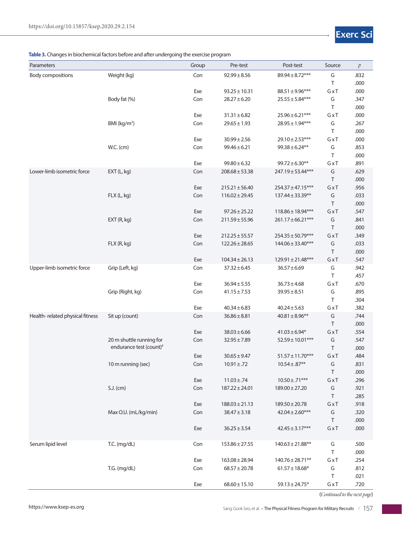#### **Table 3.** Changes in biochemical factors before and after undergoing the exercise program

| Parameters                      |                          | Group      | Pre-test                             | Post-test                                  | Source       | $\mathcal{P}$ |
|---------------------------------|--------------------------|------------|--------------------------------------|--------------------------------------------|--------------|---------------|
| <b>Body compositions</b>        | Weight (kg)              | Con        | $92.99 \pm 8.56$                     | $89.94 \pm 8.72***$                        | G            | .832          |
|                                 |                          |            |                                      |                                            | Τ            | .000          |
|                                 |                          | Exe        | $93.25 \pm 10.31$                    | $88.51 \pm 9.96***$                        | GxT          | .000          |
|                                 | Body fat (%)             | Con        | $28.27 \pm 6.20$                     | $25.55 \pm 5.84***$                        | G            | .347          |
|                                 |                          |            |                                      |                                            | Τ            | .000          |
|                                 | BMI ( $kg/m2$ )          | Exe<br>Con | $31.31 \pm 6.82$<br>$29.65 \pm 1.93$ | $25.96 \pm 6.21***$<br>$28.95 \pm 1.94***$ | GxT<br>G     | .000<br>.267  |
|                                 |                          |            |                                      |                                            | Τ            | .000          |
|                                 |                          | Exe        | $30.99 \pm 2.56$                     | $29.10 \pm 2.53***$                        | GxT          | .000          |
|                                 | <b>W.C.</b> (cm)         | Con        | $99.46 \pm 6.21$                     | $99.38 \pm 6.24**$                         | G            | .853          |
|                                 |                          |            |                                      |                                            | Τ            | .000          |
|                                 |                          | Exe        | $99.80 \pm 6.32$                     | $99.72 \pm 6.30**$                         | GxT          | .891          |
| Lower-limb isometric force      | EXT (L, kg)              | Con        | $208.68 \pm 53.38$                   | 247.19 ± 53.44***                          | G            | .629          |
|                                 |                          |            |                                      |                                            | Τ            | .000          |
|                                 |                          | Exe        | $215.21 \pm 56.40$                   | 254.37 ± 47.15***                          | GxT          | .956          |
|                                 | FLX (L, kg)              | Con        | $116.02 \pm 29.45$                   | $137.44 \pm 33.39***$                      | G            | .033          |
|                                 |                          |            |                                      |                                            | Τ            | .000          |
|                                 |                          | Exe        | $97.26 \pm 25.22$                    | $118.86 \pm 18.94***$                      | GxT          | .547          |
|                                 | EXT(R, kg)               | Con        | $211.59 \pm 55.96$                   | $261.17 \pm 66.21***$                      | G<br>$\top$  | .841<br>.000  |
|                                 |                          | Exe        | $212.25 \pm 55.57$                   | $254.35 \pm 50.79***$                      | GxT          | .349          |
|                                 | FLX (R, kg)              | Con        | $122.26 \pm 28.65$                   | 144.06 ± 33.40***                          | G            | .033          |
|                                 |                          |            |                                      |                                            | $\top$       | .000          |
|                                 |                          | Exe        | $104.34 \pm 26.13$                   | $129.91 \pm 21.48***$                      | GxT          | .547          |
| Upper-limb isometric force      | Grip (Left, kg)          | Con        | $37.32 \pm 6.45$                     | $36.57 \pm 6.69$                           | G            | .942          |
|                                 |                          |            |                                      |                                            | Τ            | .457          |
|                                 |                          | Exe        | $36.94 \pm 5.55$                     | $36.73 \pm 4.68$                           | $G \times T$ | .670          |
|                                 | Grip (Right, kg)         | Con        | $41.15 \pm 7.53$                     | $39.95 \pm 8.51$                           | G            | .895          |
|                                 |                          |            |                                      |                                            | Τ            | .304          |
|                                 |                          | Exe        | $40.34 \pm 6.83$                     | $40.24 \pm 5.63$                           | $G \times T$ | .382          |
| Health-related physical fitness | Sit up (count)           | Con        | $36.86 \pm 8.81$                     | $40.81 \pm 8.96$ **                        | G            | .744          |
|                                 |                          | Exe        | $38.03 \pm 6.66$                     | $41.03 \pm 6.94*$                          | Τ<br>GxT     | .000<br>.554  |
|                                 | 20 m shuttle running for | Con        | $32.95 \pm 7.89$                     | $52.59 \pm 10.01***$                       | G            | .547          |
|                                 | endurance test (count)#  |            |                                      |                                            | Τ            | .000          |
|                                 |                          | Exe        | $30.65 \pm 9.47$                     | $51.57 \pm 11.70***$                       | GxT          | .484          |
|                                 | 10 m running (sec)       | Con        | 10.91±.72                            | $10.54 \pm .87***$                         | G            | .831          |
|                                 |                          |            |                                      |                                            | Τ            | .000          |
|                                 |                          | Exe        | $11.03 \pm .74$                      | $10.50 \pm .71***$                         | $G \times T$ | .296          |
|                                 | $S.J.$ (cm)              | Con        | $187.22 \pm 24.01$                   | $189.00 \pm 27.20$                         | G            | .921          |
|                                 |                          |            |                                      |                                            | Τ            | .285          |
|                                 |                          | Exe        | $188.03 \pm 21.13$                   | $189.50 \pm 20.78$                         | $G \times T$ | .918          |
|                                 | Max O.U. (mL/kg/min)     | Con        | $38.47 \pm 3.18$                     | $42.04 \pm 2.60***$                        | G            | .320          |
|                                 |                          |            |                                      |                                            | $\sf T$      | .000          |
|                                 |                          | Exe        | $36.25 \pm 3.54$                     | $42.45 \pm 3.17***$                        | $G \times T$ | .000          |
| Serum lipid level               | T.C. (mg/dL)             | Con        | $153.86 \pm 27.55$                   | $140.63 \pm 21.88$ **                      | G            | .500          |
|                                 |                          |            |                                      |                                            | $\sf T$      | .000          |
|                                 |                          | Exe        | $163.08 \pm 28.94$                   | $140.76 \pm 28.71***$                      | $G \times T$ | .254          |
|                                 | T.G. (mg/dL)             | Con        | $68.57 \pm 20.78$                    | $61.57 \pm 18.68^*$                        | G            | .812          |
|                                 |                          |            |                                      |                                            | Τ            | .021          |
|                                 |                          | Exe        | $68.60 \pm 15.10$                    | $59.13 \pm 24.75*$                         | $G \times T$ | .720          |

(*Continued to the next page*)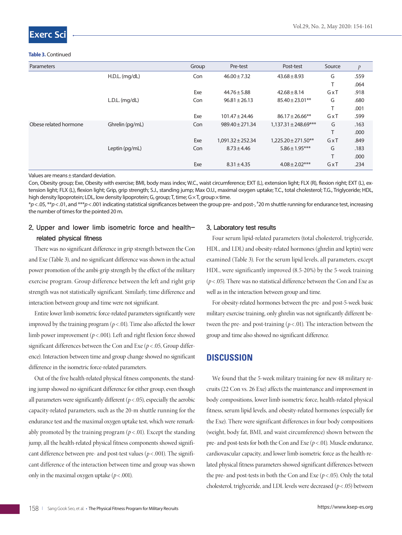# **Exerc Sc**

#### **Table 3.** Continued

| Parameters            |                  | Group | Pre-test              | Post-test                | Source         | $\mathcal{P}$ |
|-----------------------|------------------|-------|-----------------------|--------------------------|----------------|---------------|
|                       | $H.D.L.$ (mg/dL) | Con   | $46.00 \pm 7.32$      | $43.68 \pm 8.93$         | G              | .559          |
|                       |                  |       |                       |                          | т              | .064          |
|                       |                  | Exe   | $44.76 \pm 5.88$      | $42.68 \pm 8.14$         | GxT            | .918          |
|                       | $L.D.L.$ (mg/dL) | Con   | $96.81 \pm 26.13$     | $85.40 \pm 23.01$ **     | G              | .680          |
|                       |                  |       |                       |                          | $\mathbf \tau$ | .001          |
|                       |                  | Exe   | $101.47 \pm 24.46$    | $86.17 \pm 26.66$ **     | GxT            | .599          |
| Obese related hormone | Ghrelin (pg/mL)  | Con   | $989.40 \pm 271.34$   | $1,137.31 \pm 248.69***$ | G              | .163          |
|                       |                  |       |                       |                          | Τ              | .000          |
|                       |                  | Exe   | $1,091.32 \pm 252.34$ | $1.225.20 \pm 271.50**$  | GxT            | .849          |
|                       | Leptin (pg/mL)   | Con   | $8.73 \pm 4.46$       | $5.86 \pm 1.95***$       | G              | .183          |
|                       |                  |       |                       |                          | $\mathbf \tau$ | .000          |
|                       |                  | Exe   | $8.31 \pm 4.35$       | $4.08 \pm 2.02***$       | GxT            | .234          |

Values are means±standard deviation.

Con, Obesity group; Exe, Obesity with exercise; BMI, body mass index; W.C., waist circumference; EXT (L), extension light; FLX (R), flexion right; EXT (L), extension light; FLX (L), flexion light; Grip, grip strength; S.J., standing jump; Max O.U., maximal oxygen uptake; T.C., total cholesterol; T.G., Triglyceride; HDL, high density lipoprotein; LDL, low density lipoprotein; G, group; T, time; G × T, group × time.

\**p*<.05, \*\**p*<.01, and \*\*\**p*<.001 indicating statistical significances between the group pre- and post-, # 20 m shuttle running for endurance test, increasing the number of times for the pointed 20 m.

# 2. Upper and lower limb isometric force and healthrelated physical fitness

There was no significant difference in grip strength between the Con and Exe (Table 3), and no significant difference was shown in the actual power promotion of the ambi-grip strength by the effect of the military exercise program. Group difference between the left and right grip strength was not statistically significant. Similarly, time difference and interaction between group and time were not significant.

Entire lower limb isometric force-related parameters significantly were improved by the training program  $(p < .01)$ . Time also affected the lower limb power improvement (*p*< .001). Left and right flexion force showed significant differences between the Con and Exe ( $p$  < .05, Group difference). Interaction between time and group change showed no significant difference in the isometric force-related parameters.

Out of the five health-related physical fitness components, the standing jump showed no significant difference for either group, even though all parameters were significantly different  $(p < .05)$ , especially the aerobic capacity-related parameters, such as the 20-m shuttle running for the endurance test and the maximal oxygen uptake test, which were remarkably promoted by the training program  $(p < .01)$ . Except the standing jump, all the health-related physical fitness components showed significant difference between pre- and post-test values ( $p < .001$ ). The significant difference of the interaction between time and group was shown only in the maximal oxygen uptake  $(p < .001)$ .

#### 3. Laboratory test results

Four serum lipid-related parameters (total cholesterol, triglyceride, HDL, and LDL) and obesity-related hormones (ghrelin and leptin) were examined (Table 3). For the serum lipid levels, all parameters, except HDL, were significantly improved (8.5-20%) by the 5-week training  $(p<.05)$ . There was no statistical difference between the Con and Exe as well as in the interaction between group and time.

For obesity-related hormones between the pre- and post-5-week basic military exercise training, only ghrelin was not significantly different between the pre- and post-training ( $p < .01$ ). The interaction between the group and time also showed no significant difference.

## **DISCUSSION**

We found that the 5-week military training for new 48 military recruits (22 Con vs. 26 Exe) affects the maintenance and improvement in body compositions, lower limb isometric force, health-related physical fitness, serum lipid levels, and obesity-related hormones (especially for the Exe). There were significant differences in four body compositions (weight, body fat, BMI, and waist circumference) shown between the pre- and post-tests for both the Con and Exe ( $p$  < .01). Muscle endurance, cardiovascular capacity, and lower limb isometric force as the health-related physical fitness parameters showed significant differences between the pre- and post-tests in both the Con and Exe  $(p < .05)$ . Only the total cholesterol, triglyceride, and LDL levels were decreased (*p*< .05) between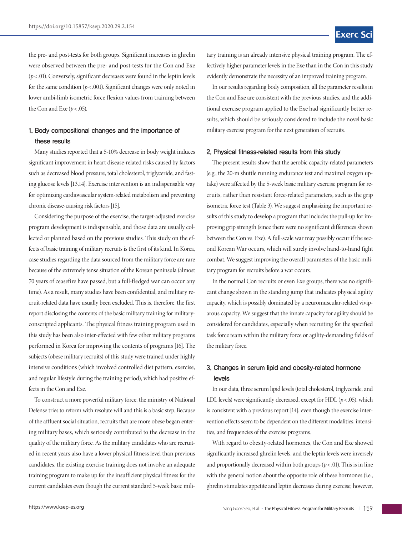the pre- and post-tests for both groups. Significant increases in ghrelin were observed between the pre- and post-tests for the Con and Exe  $(p<.01)$ . Conversely, significant decreases were found in the leptin levels for the same condition ( $p$ <.001). Significant changes were only noted in lower ambi-limb isometric force flexion values from training between the Con and Exe  $(p < .05)$ .

### 1. Body compositional changes and the importance of these results

Many studies reported that a 5-10% decrease in body weight induces significant improvement in heart disease-related risks caused by factors such as decreased blood pressure, total cholesterol, triglyceride, and fasting glucose levels [13,14]. Exercise intervention is an indispensable way for optimizing cardiovascular system-related metabolism and preventing chronic disease-causing risk factors [15].

Considering the purpose of the exercise, the target-adjusted exercise program development is indispensable, and those data are usually collected or planned based on the previous studies. This study on the effects of basic training of military recruits is the first of its kind. In Korea, case studies regarding the data sourced from the military force are rare because of the extremely tense situation of the Korean peninsula (almost 70 years of ceasefire have passed, but a full-fledged war can occur any time). As a result, many studies have been confidential, and military recruit-related data have usually been excluded. This is, therefore, the first report disclosing the contents of the basic military training for militaryconscripted applicants. The physical fitness training program used in this study has been also inter-effected with few other military programs performed in Korea for improving the contents of programs [16]. The subjects (obese military recruits) of this study were trained under highly intensive conditions (which involved controlled diet pattern, exercise, and regular lifestyle during the training period), which had positive effects in the Con and Exe.

To construct a more powerful military force, the ministry of National Defense tries to reform with resolute will and this is a basic step. Because of the affluent social situation, recruits that are more obese began entering military bases, which seriously contributed to the decrease in the quality of the military force. As the military candidates who are recruited in recent years also have a lower physical fitness level than previous candidates, the existing exercise training does not involve an adequate training program to make up for the insufficient physical fitness for the current candidates even though the current standard 5-week basic military training is an already intensive physical training program. The effectively higher parameter levels in the Exe than in the Con in this study evidently demonstrate the necessity of an improved training program.

In our results regarding body composition, all the parameter results in the Con and Exe are consistent with the previous studies, and the additional exercise program applied to the Exe had significantly better results, which should be seriously considered to include the novel basic military exercise program for the next generation of recruits.

#### 2. Physical fitness**-**related results from this study

The present results show that the aerobic capacity-related parameters (e.g., the 20-m shuttle running endurance test and maximal oxygen uptake) were affected by the 5-week basic military exercise program for recruits, rather than resistant force-related parameters, such as the grip isometric force test (Table 3). We suggest emphasizing the important results of this study to develop a program that includes the pull-up for improving grip strength (since there were no significant differences shown between the Con vs. Exe). A full-scale war may possibly occur if the second Korean War occurs, which will surely involve hand-to-hand fight combat. We suggest improving the overall parameters of the basic military program for recruits before a war occurs.

In the normal Con recruits or even Exe groups, there was no significant change shown in the standing jump that indicates physical agility capacity, which is possibly dominated by a neuromuscular-related viviparous capacity. We suggest that the innate capacity for agility should be considered for candidates, especially when recruiting for the specified task force team within the military force or agility-demanding fields of the military force.

# 3. Changes in serum lipid and obesity**-**related hormone levels

In our data, three serum lipid levels (total cholesterol, triglyceride, and LDL levels) were significantly decreased, except for HDL ( $p < .05$ ), which is consistent with a previous report [14], even though the exercise intervention effects seem to be dependent on the different modalities, intensities, and frequencies of the exercise programs.

With regard to obesity-related hormones, the Con and Exe showed significantly increased ghrelin levels, and the leptin levels were inversely and proportionally decreased within both groups  $(p < .01)$ . This is in line with the general notion about the opposite role of these hormones (i.e., ghrelin stimulates appetite and leptin decreases during exercise; however,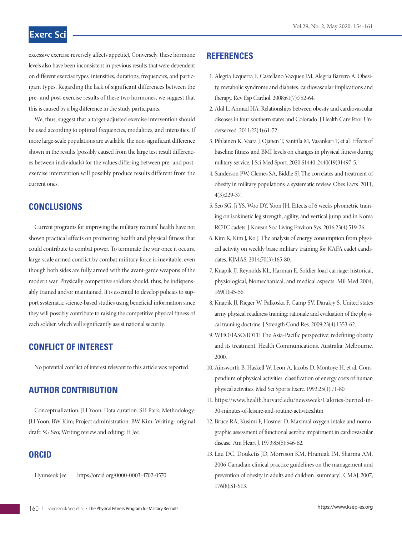# **Exerc Sci**

excessive exercise reversely affects appetite). Conversely, these hormone levels also have been inconsistent in previous results that were dependent on different exercise types, intensities, durations, frequencies, and participant types. Regarding the lack of significant differences between the pre- and post-exercise results of these two hormones, we suggest that this is caused by a big difference in the study participants.

We, thus, suggest that a target-adjusted exercise intervention should be used according to optimal frequencies, modalities, and intensities. If more large-scale populations are available, the non-significant difference shown in the results (possibly caused from the large test result differences between individuals) for the values differing between pre- and postexercise intervention will possibly produce results different from the current ones.

# **CONCLUSIONS**

Current programs for improving the military recruits' health have not shown practical effects on promoting health and physical fitness that could contribute to combat power. To terminate the war once it occurs, large-scale armed conflict by combat military force is inevitable, even though both sides are fully armed with the avant-garde weapons of the modern war. Physically competitive soldiers should, thus, be indispensably trained and/or maintained. It is essential to develop policies to support systematic science-based studies using beneficial information since they will possibly contribute to raising the competitive physical fitness of each soldier, which will significantly assist national security.

# **CONFLICT OF INTEREST**

No potential conflict of interest relevant to this article was reported.

# **AUTHOR CONTRIBUTION**

Conceptualization: JH Yoon; Data curation: SH Park; Methodology: JH Yoon, BW Kim; Project administration: BW Kim; Writing- original draft: SG Seo; Writing review and editing: H Jee.

# **ORCID**

Hyunseok Jee https://orcid.org/0000-0003-4702-0570

### **REFERENCES**

- 1. Alegria Ezquerra E, Castellano Vazquez JM, Alegria Barrero A. Obesity, metabolic syndrome and diabetes: cardiovascular implications and therapy. Rev Esp Cardiol. 2008;61(7):752-64.
- 2. Akil L, Ahmad HA. Relationships between obesity and cardiovascular diseases in four southern states and Colorado. J Health Care Poor Underserved. 2011;22(4):61-72.
- 3. Pihlainen K, Vaara J, Ojanen T, Santtila M, Vasankari T, et al. Effects of baseline fitness and BMI levels on changes in physical fitness during military service. J Sci Med Sport. 2020;S1440-2440(19)31497-5.
- 4. Sanderson PW, Clemes SA, Biddle SJ. The correlates and treatment of obesity in military populations: a systematic review. Obes Facts. 2011; 4(3):229-37.
- 5. Seo SG, Ji YS, Woo DY, Yoon JH. Effects of 6 weeks plyometric training on isokinetic leg strength, agility, and vertical jump and in Korea ROTC cadets. J Korean Soc Living Environ Sys. 2016;23(4):519-26.
- 6. Kim K, Kim J, Ko J. The analysis of energy consumption from physical activity on weekly basic military training for KAFA cadet candidates. KJMAS. 2014;70(3):165-80.
- 7. Knapik JJ, Reynolds KL, Harman E. Soldier load carriage: historical, physiological, biomechanical, and medical aspects. Mil Med 2004; 169(1):45-56.
- 8. Knapik JJ, Rieger W, Palkoska F, Camp SV, Darakjy S. United states army physical readiness training: rationale and evaluation of the physical training doctrine. J Strength Cond Res. 2009;23(4):1353-62.
- 9. WHO/IASO/IOTF. The Asia-Pacific perspective: redefining obesity and its treatment. Health Communications, Australia: Melbourne. 2000.
- 10. Ainsworth B, Haskell W, Leon A, Jacobs D, Montoye H, et al. Compendium of physical activities: classification of energy costs of human physical activities. Med Sci Sports Exerc. 1993;25(1):71-80.
- 11. https://www.health.harvard.edu/newsweek/Calories-burned-in-30-minutes-of-leisure-and-routine-activities.htm
- 12. Bruce RA, Kusimi F, Hosmer D. Maximal oxygen intake and nomographic assessment of functional aerobic impairment in cardiovascular disease. Am Heart J. 1973;85(5):546-62.
- 13. Lau DC, Douketis JD, Morrison KM, Hramiak IM, Sharma AM. 2006 Canadian clinical practice guidelines on the management and prevention of obesity in adults and children [summary]. CMAJ. 2007; 176(8):S1-S13.